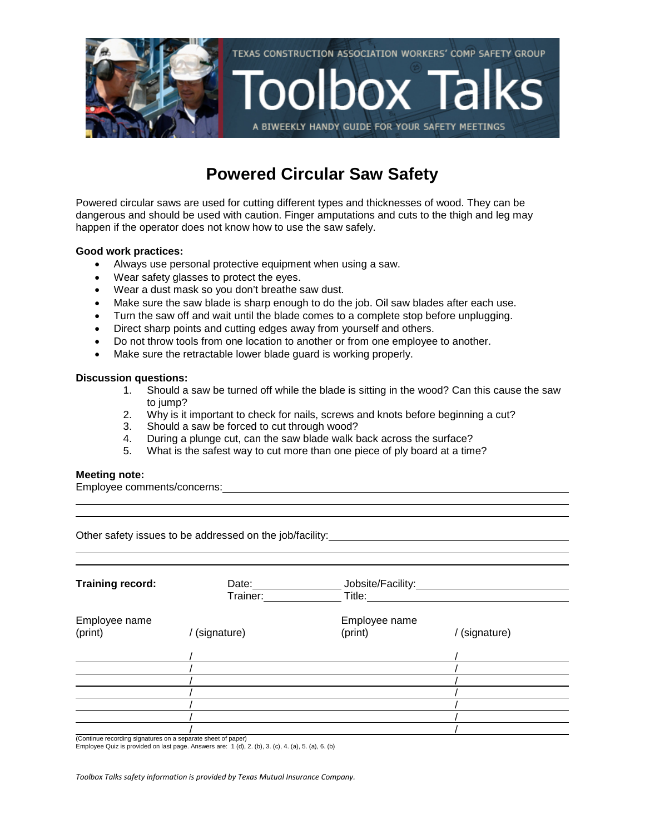

## **Powered Circular Saw Safety**

Powered circular saws are used for cutting different types and thicknesses of wood. They can be dangerous and should be used with caution. Finger amputations and cuts to the thigh and leg may happen if the operator does not know how to use the saw safely.

#### **Good work practices:**

- Always use personal protective equipment when using a saw.
- Wear safety glasses to protect the eyes.
- Wear a dust mask so you don't breathe saw dust.
- Make sure the saw blade is sharp enough to do the job. Oil saw blades after each use.
- Turn the saw off and wait until the blade comes to a complete stop before unplugging.
- Direct sharp points and cutting edges away from yourself and others.
- Do not throw tools from one location to another or from one employee to another.
- Make sure the retractable lower blade guard is working properly.

#### **Discussion questions:**

- 1. Should a saw be turned off while the blade is sitting in the wood? Can this cause the saw to jump?
- 2. Why is it important to check for nails, screws and knots before beginning a cut?
- 3. Should a saw be forced to cut through wood?
- 4. During a plunge cut, can the saw blade walk back across the surface?
- 5. What is the safest way to cut more than one piece of ply board at a time?

#### **Meeting note:**

Employee comments/concerns:

Other safety issues to be addressed on the job/facility:

| <b>Training record:</b>                                                                                                   | Date:<br>Trainer: | Jobsite/Facility:<br>Title: |             |
|---------------------------------------------------------------------------------------------------------------------------|-------------------|-----------------------------|-------------|
| Employee name<br>(print)<br>$\theta$ is the continuous continuous continuous continuous contract of $\theta$ and $\theta$ | (signature)       | Employee name<br>(print)    | (signature) |
|                                                                                                                           |                   |                             |             |
|                                                                                                                           |                   |                             |             |
|                                                                                                                           |                   |                             |             |
|                                                                                                                           |                   |                             |             |
|                                                                                                                           |                   |                             |             |
|                                                                                                                           |                   |                             |             |
|                                                                                                                           |                   |                             |             |

cording signatures on a separate sheet of paper

Employee Quiz is provided on last page. Answers are: 1 (d), 2. (b), 3. (c), 4. (a), 5. (a), 6. (b)

*Toolbox Talks safety information is provided by Texas Mutual Insurance Company.*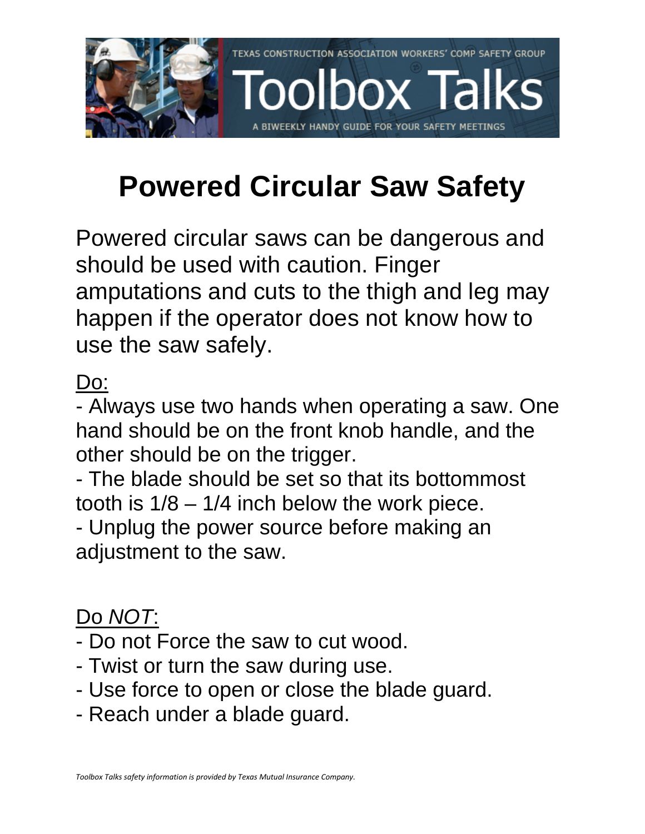

# **Powered Circular Saw Safety**

Powered circular saws can be dangerous and should be used with caution. Finger amputations and cuts to the thigh and leg may happen if the operator does not know how to use the saw safely.

Do:

- Always use two hands when operating a saw. One hand should be on the front knob handle, and the other should be on the trigger.

- The blade should be set so that its bottommost tooth is  $1/8 - 1/4$  inch below the work piece.

- Unplug the power source before making an adjustment to the saw.

# Do *NOT*:

- Do not Force the saw to cut wood.
- Twist or turn the saw during use.
- Use force to open or close the blade guard.
- Reach under a blade guard.